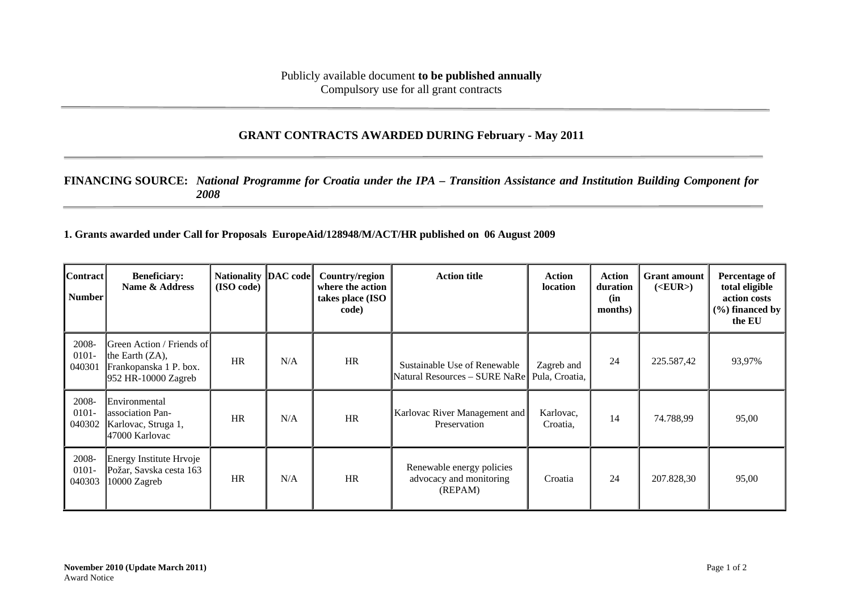## **GRANT CONTRACTS AWARDED DURING February - May 2011**

## **FINANCING SOURCE:** *National Programme for Croatia under the IPA – Transition Assistance and Institution Building Component for 2008*

**1. Grants awarded under Call for Proposals EuropeAid/128948/M/ACT/HR published on 06 August 2009** 

| <b>Contract</b><br>Number   | <b>Beneficiary:</b><br>Name & Address                                                            | Nationality  DAC code <br>(ISO code) |     | Country/region<br>where the action<br>takes place (ISO<br>code) | <b>Action title</b>                                             | <b>Action</b><br><b>location</b> | Action<br>duration<br>(in<br>months) | <b>Grant</b> amount<br>( <b>EUR</b> ) | Percentage of<br>total eligible<br>action costs<br>$(\% )$ financed by<br>the EU |
|-----------------------------|--------------------------------------------------------------------------------------------------|--------------------------------------|-----|-----------------------------------------------------------------|-----------------------------------------------------------------|----------------------------------|--------------------------------------|---------------------------------------|----------------------------------------------------------------------------------|
| 2008-<br>$0101 -$<br>040301 | Green Action / Friends of<br>the Earth $(ZA)$ ,<br>Frankopanska 1 P. box.<br>952 HR-10000 Zagreb | <b>HR</b>                            | N/A | HR                                                              | Sustainable Use of Renewable<br>Natural Resources - SURE NaRe   | Zagreb and<br>Pula, Croatia,     | 24                                   | 225.587,42                            | 93,97%                                                                           |
| 2008-<br>$0101 -$<br>040302 | Environmental<br>lassociation Pan-<br>Karlovac, Struga 1,<br>47000 Karlovac                      | <b>HR</b>                            | N/A | HR                                                              | Karlovac River Management and<br>Preservation                   | Karlovac,<br>Croatia,            | 14                                   | 74.788,99                             | 95,00                                                                            |
| 2008-<br>$0101 -$<br>040303 | Energy Institute Hrvoje<br>Požar, Savska cesta 163<br>10000 Zagreb                               | <b>HR</b>                            | N/A | HR                                                              | Renewable energy policies<br>advocacy and monitoring<br>(REPAM) | Croatia                          | 24                                   | 207.828,30                            | 95,00                                                                            |